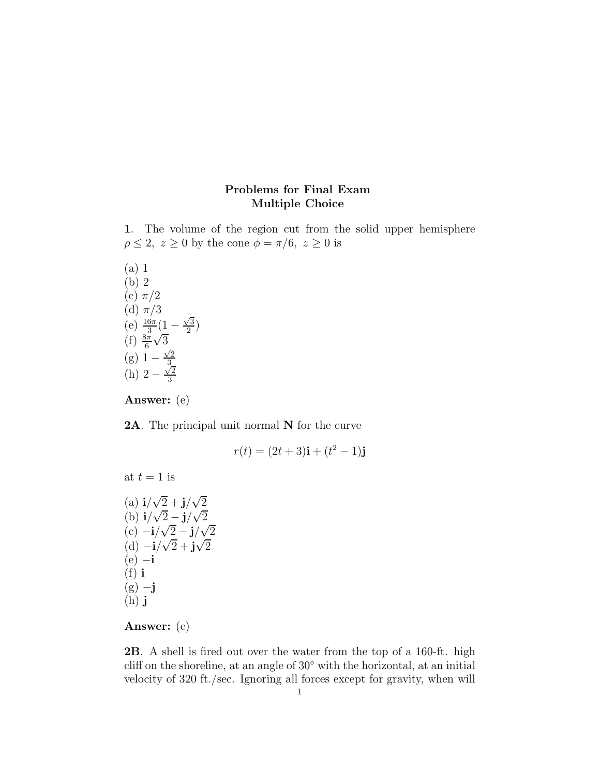# Problems for Final Exam Multiple Choice

1. The volume of the region cut from the solid upper hemisphere  $\rho \leq 2, z \geq 0$  by the cone  $\phi = \pi/6, z \geq 0$  is

(a) 1  
\n(b) 2  
\n(c) 
$$
\pi/2
$$
  
\n(d)  $\pi/3$   
\n(e)  $\frac{16\pi}{3}(1 - \frac{\sqrt{3}}{2})$   
\n(f)  $\frac{8\pi}{6}\sqrt{3}$   
\n(g)  $1 - \frac{\sqrt{2}}{3}$   
\n(h)  $2 - \frac{\sqrt{2}}{3}$ 

Answer: (e)

2A. The principal unit normal N for the curve

$$
r(t) = (2t+3)\mathbf{i} + (t^2 - 1)\mathbf{j}
$$

at  $t = 1$  is (a)  $i/\sqrt{2} + j/\sqrt{2}$ (b)  $i/\sqrt{2} - j/\sqrt{2}$ 

 $(c)$  –**i**/ $\sqrt{2}$  – **j**/ $\sqrt{2}$ (d)  $-i/\sqrt{2}+j\sqrt{2}$  $(e) -i$  $(f)$  i  $(g) -j$  $(h)$ **j** 

# Answer: (c)

2B. A shell is fired out over the water from the top of a 160-ft. high cliff on the shoreline, at an angle of 30◦ with the horizontal, at an initial velocity of 320 ft./sec. Ignoring all forces except for gravity, when will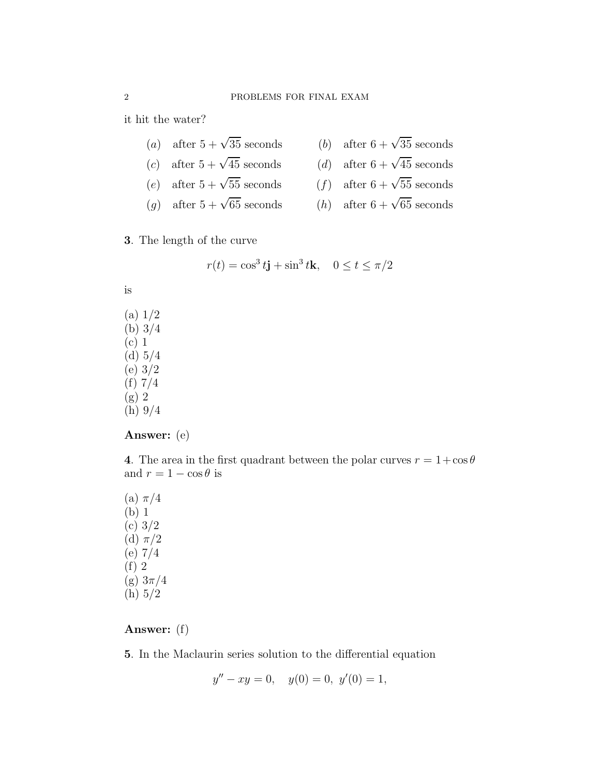it hit the water?

- (a) after  $5 + \sqrt{35}$  seconds  $\overline{35}$  seconds (b) after 6 +  $\sqrt{35}$  seconds
- (c) after  $5 + \sqrt{45}$  seconds
	- $\overline{45}$  seconds  $(d)$  after  $6 + \sqrt{45}$  seconds
- (e) after  $5 + \sqrt{55}$  seconds  $\overline{55}$  seconds  $(f)$  after  $6 + \sqrt{55}$  seconds
- (g) after  $5 + \sqrt{65}$  seconds  $\overline{65}$  seconds (*h*) after  $6 + \sqrt{65}$  seconds
- 3. The length of the curve

$$
r(t) = \cos^3 t \mathbf{j} + \sin^3 t \mathbf{k}, \quad 0 \le t \le \pi/2
$$

is

(a) 1/2 (b) 3/4 (c) 1 (d) 5/4 (e) 3/2 (f) 7/4 (g) 2 (h) 9/4

#### Answer: (e)

4. The area in the first quadrant between the polar curves  $r = 1 + \cos \theta$ and  $r = 1 - \cos \theta$  is

(a)  $\pi/4$ (b) 1 (c) 3/2 (d)  $\pi/2$  $(e) 7/4$ (f) 2 (g) 3π/4 (h) 5/2

### Answer: (f)

5. In the Maclaurin series solution to the differential equation

$$
y'' - xy = 0, \quad y(0) = 0, \ y'(0) = 1,
$$